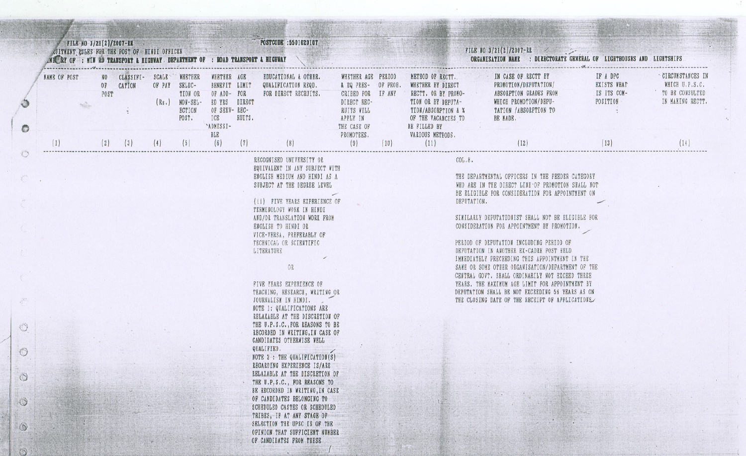|                            | FILE NO 3/21(2)/2007-RE |                                | <b>NUITHENT RULES FOR THE POST OF HINDI OFFICER</b><br>AN AY OF : MIN AD TRANSPORT & HIGHWAY DEPARTMENT OF : ROAD TRANSPORT & HIGHWAY |                      |                                                              |                                                                                                                       |               | POSTCODE : 5501020107                                                                                                                                                                                                                                                                                                                                                                                                                                                                                                                                                                                                                                                                                                                                                                                                                                                                                 |                                                                                                                                             |      |                                                                                                                                                                                         | FILE NO $3/21(2)/2007$ -RR<br>ORGANISATION NAME : DIRECTORATE GENERAL OF LIGHTHOUSES AND<br><b>LIGHTSHIPS</b>                                                 |                                                                                                                                                                                                                                                                                                                                                                                                                                                                                                                                    |                                                                   |                                                                                          |
|----------------------------|-------------------------|--------------------------------|---------------------------------------------------------------------------------------------------------------------------------------|----------------------|--------------------------------------------------------------|-----------------------------------------------------------------------------------------------------------------------|---------------|-------------------------------------------------------------------------------------------------------------------------------------------------------------------------------------------------------------------------------------------------------------------------------------------------------------------------------------------------------------------------------------------------------------------------------------------------------------------------------------------------------------------------------------------------------------------------------------------------------------------------------------------------------------------------------------------------------------------------------------------------------------------------------------------------------------------------------------------------------------------------------------------------------|---------------------------------------------------------------------------------------------------------------------------------------------|------|-----------------------------------------------------------------------------------------------------------------------------------------------------------------------------------------|---------------------------------------------------------------------------------------------------------------------------------------------------------------|------------------------------------------------------------------------------------------------------------------------------------------------------------------------------------------------------------------------------------------------------------------------------------------------------------------------------------------------------------------------------------------------------------------------------------------------------------------------------------------------------------------------------------|-------------------------------------------------------------------|------------------------------------------------------------------------------------------|
| <b>NAME OF POST</b><br>(1) |                         | NO <sub>1</sub><br>POST<br>(2) | CLASSIFI- SCALE WHETHER<br>OF CATION<br>(3)                                                                                           | OF PAY SELEC-<br>(4) | TION OR<br>$(Rs.)$ NON-SEL-<br><b>ECTION</b><br>POST.<br>(5) | WHETHER AGE<br>BENEFIT LIMIT<br>OF ADD- FOR<br>ED YRS DIRECT<br>OF SERV-REC-<br>ICE<br>"ADMISSI-<br><b>BLE</b><br>(6) | RUITS.<br>(7) | <b>EDUCATIONAL &amp; OTHER.</b><br>QUALIFICATION REQD.<br>FOR DIRECT RECRUITS.                                                                                                                                                                                                                                                                                                                                                                                                                                                                                                                                                                                                                                                                                                                                                                                                                        | WHETHER AGE PERIOD<br>& EQ PRES- OF PROB.<br>CRIBED FOR IF ANY<br>DIRECT REC-<br>RUITS WILL<br>APPLY IN<br>THE CASE OF<br>PROMOTEES.<br>(9) | (10) | METHOD OF RECTT.<br>WHETHER BY DIRECT<br>RECTT. OR BY PROMO-<br>TION OR BY DEPUTA-<br><b>TION/ABSORPTION &amp; %</b><br>OF THE VACANCIES TO<br>BE FILLED BY<br>VARIOUS METHODS.<br>(11) | IN CASE OF RECTT BY<br>PROMOTION/DEPUTATION/<br>ABSORPTION GRADES FROM<br>WHICH PROMOTION/DEPU-<br>TATION /ABSORPTION TO<br>BE MADE.<br>$\sim$ $\sim$<br>(12) |                                                                                                                                                                                                                                                                                                                                                                                                                                                                                                                                    | IF A DPC<br><b>EXISTS WHAT</b><br>IS ITS COM-<br>POSITION<br>(13) | <b>CIRCUMSTANCES IN</b><br>WHICH U.P.S.C.<br>TO BE CONSULTED<br>IN MAKING RECTT.<br>(14) |
|                            |                         |                                |                                                                                                                                       |                      |                                                              |                                                                                                                       |               | RECOGNISED UNIVERSITY OR<br>EQUIVALENT IN ANY SUBJECT WITH                                                                                                                                                                                                                                                                                                                                                                                                                                                                                                                                                                                                                                                                                                                                                                                                                                            |                                                                                                                                             |      | COL.8.                                                                                                                                                                                  |                                                                                                                                                               |                                                                                                                                                                                                                                                                                                                                                                                                                                                                                                                                    |                                                                   |                                                                                          |
|                            |                         |                                |                                                                                                                                       |                      |                                                              |                                                                                                                       |               | ENGLISH MEDIUM AND HINDI AS A<br>SUBJECT AT THE DEGREE LEVEL<br>(ii) FIVE YEARS EXPERIENCE OF<br>TERMINOLOGY WORK IN HINDI<br>AND/OR TRANSLATION WORK FROM<br>ENGLISH TO HINDI OR<br>VICE-VERSA, PREFERABLY OF<br>TECHNICAL OR SCIENTIFIC<br>LITERATURE<br>OR<br>FIVE YEARS EXPERIENCE OF<br>TEACHING, RESEARCH, WRITING OR<br>JOURNALISM IN HINDI.<br>NOTE 1: QUALIFICATIONS ARE<br>RELAXABLE AT THE DISCRETION OF<br>THE U.P.S.C., FOR REASONS TO BE<br>RECORDED IN WRITING, IN CASE OF<br>CANDIDATES OTHERWISE WELL<br>QUALIFIED.<br>NOTE 2 : THE QUALIFICATION(S)<br>REGARDING EXPERIENCE IS/ARE<br>RELAXABLE AT THE DISCRETION OF<br>THE U.P.S.C., FOR REASONS TO<br>BE RECORDED IN WRITING, IN CASE<br>OF CANDIDATES BELONGING TO<br>SCHEDULED CASTES OR SCHEDULED<br>TRIBES, IF AT ANY STAGE OF<br>SELECTION THE UPSC IS OF THE<br>OPINION THAT SUFFICIENT NUMBER<br>OF CANDIDATES FROM THESE. |                                                                                                                                             |      | DEPUTATION.                                                                                                                                                                             | CONSIDERATION FOR APPOINTMENT BY PROMOTION.<br>PERIOD OF DEPUTATION INCLUDING PERIOD OF<br>DEPUTATION IN ANOTHER EX-CADRE POST HELD                           | THE DEPARTMENTAL OFFICERS IN THE FEEDER CATEGORY<br>WHO ARE IN THE DIRECT LINE OF PROMOTION SHALL NOT<br>BE ELIGIBLE FOR CONSIDERATION FOR APPOINTMENT ON<br>SIMILARLY DEPUTATIONIST SHALL NOT BE ELIGIBLE FOR<br>IMMEDIATELY PRECEEDING THIS APPOINTMENT IN THE<br>SAME OR SOME OTHER ORGANISATION/DEPARTMENT OF THE<br>CENTRAL GOVT. SHALL ORDINARILY NOT EXCEED THREE<br>YEARS. THE MAXIMUM AGE LIMIT FOR APPOINTMENT BY<br>DEPUTATION SHALL BE NOT EXCEEDING 56 YEARS AS ON<br>THE CLOSING DATE OF THE RECEIPT OF APPLICATIONS |                                                                   |                                                                                          |

**Carried** 

卷

**There** 

 $\cdot$ 

 $\overline{1}$